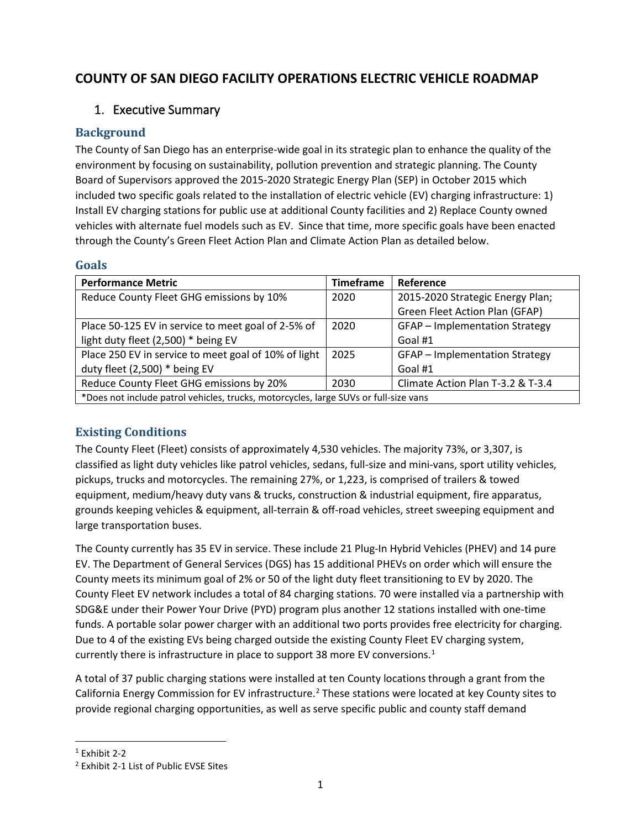# **COUNTY OF SAN DIEGO FACILITY OPERATIONS ELECTRIC VEHICLE ROADMAP**

### 1. Executive Summary

### **Background**

The County of San Diego has an enterprise-wide goal in its strategic plan to enhance the quality of the environment by focusing on sustainability, pollution prevention and strategic planning. The County Board of Supervisors approved the 2015-2020 Strategic Energy Plan (SEP) in October 2015 which included two specific goals related to the installation of electric vehicle (EV) charging infrastructure: 1) Install EV charging stations for public use at additional County facilities and 2) Replace County owned vehicles with alternate fuel models such as EV. Since that time, more specific goals have been enacted through the County's Green Fleet Action Plan and Climate Action Plan as detailed below.

#### **Goals**

| <b>Performance Metric</b>                                                            | <b>Timeframe</b> | Reference                         |
|--------------------------------------------------------------------------------------|------------------|-----------------------------------|
| Reduce County Fleet GHG emissions by 10%                                             | 2020             | 2015-2020 Strategic Energy Plan;  |
|                                                                                      |                  | Green Fleet Action Plan (GFAP)    |
| Place 50-125 EV in service to meet goal of 2-5% of                                   | 2020             | GFAP - Implementation Strategy    |
| light duty fleet (2,500) * being EV                                                  |                  | Goal #1                           |
| Place 250 EV in service to meet goal of 10% of light                                 | 2025             | GFAP - Implementation Strategy    |
| duty fleet $(2,500)$ * being EV                                                      |                  | Goal #1                           |
| Reduce County Fleet GHG emissions by 20%                                             | 2030             | Climate Action Plan T-3.2 & T-3.4 |
| *Does not include patrol vehicles, trucks, motorcycles, large SUVs or full-size vans |                  |                                   |

### **Existing Conditions**

The County Fleet (Fleet) consists of approximately 4,530 vehicles. The majority 73%, or 3,307, is classified as light duty vehicles like patrol vehicles, sedans, full-size and mini-vans, sport utility vehicles, pickups, trucks and motorcycles. The remaining 27%, or 1,223, is comprised of trailers & towed equipment, medium/heavy duty vans & trucks, construction & industrial equipment, fire apparatus, grounds keeping vehicles & equipment, all-terrain & off-road vehicles, street sweeping equipment and large transportation buses.

The County currently has 35 EV in service. These include 21 Plug-In Hybrid Vehicles (PHEV) and 14 pure EV. The Department of General Services (DGS) has 15 additional PHEVs on order which will ensure the County meets its minimum goal of 2% or 50 of the light duty fleet transitioning to EV by 2020. The County Fleet EV network includes a total of 84 charging stations. 70 were installed via a partnership with SDG&E under their Power Your Drive (PYD) program plus another 12 stations installed with one-time funds. A portable solar power charger with an additional two ports provides free electricity for charging. Due to 4 of the existing EVs being charged outside the existing County Fleet EV charging system, currently there is infrastructure in place to support 38 more EV conversions.<sup>[1](#page-0-0)</sup>

A total of 37 public charging stations were installed at ten County locations through a grant from the California Energy Commission for EV infrastructure.<sup>[2](#page-0-1)</sup> These stations were located at key County sites to provide regional charging opportunities, as well as serve specific public and county staff demand

<span id="page-0-0"></span> $1$  Exhibit 2-2

<span id="page-0-1"></span><sup>2</sup> Exhibit 2-1 List of Public EVSE Sites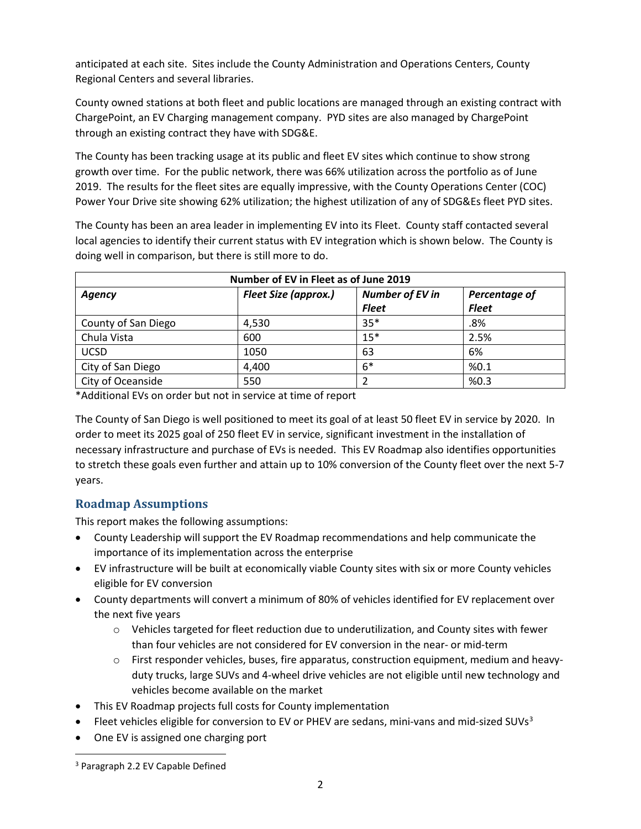anticipated at each site. Sites include the County Administration and Operations Centers, County Regional Centers and several libraries.

County owned stations at both fleet and public locations are managed through an existing contract with ChargePoint, an EV Charging management company. PYD sites are also managed by ChargePoint through an existing contract they have with SDG&E.

The County has been tracking usage at its public and fleet EV sites which continue to show strong growth over time. For the public network, there was 66% utilization across the portfolio as of June 2019. The results for the fleet sites are equally impressive, with the County Operations Center (COC) Power Your Drive site showing 62% utilization; the highest utilization of any of SDG&Es fleet PYD sites.

The County has been an area leader in implementing EV into its Fleet. County staff contacted several local agencies to identify their current status with EV integration which is shown below. The County is doing well in comparison, but there is still more to do.

| Number of EV in Fleet as of June 2019 |                             |                        |               |
|---------------------------------------|-----------------------------|------------------------|---------------|
| Agency                                | <b>Fleet Size (approx.)</b> | <b>Number of EV in</b> | Percentage of |
|                                       |                             | <b>Fleet</b>           | <b>Fleet</b>  |
| County of San Diego                   | 4,530                       | $35*$                  | .8%           |
| Chula Vista                           | 600                         | $15*$                  | 2.5%          |
| <b>UCSD</b>                           | 1050                        | 63                     | 6%            |
| City of San Diego                     | 4,400                       | $6*$                   | %0.1          |
| City of Oceanside                     | 550                         | 2                      | %0.3          |

\*Additional EVs on order but not in service at time of report

The County of San Diego is well positioned to meet its goal of at least 50 fleet EV in service by 2020. In order to meet its 2025 goal of 250 fleet EV in service, significant investment in the installation of necessary infrastructure and purchase of EVs is needed. This EV Roadmap also identifies opportunities to stretch these goals even further and attain up to 10% conversion of the County fleet over the next 5-7 years.

### **Roadmap Assumptions**

This report makes the following assumptions:

- County Leadership will support the EV Roadmap recommendations and help communicate the importance of its implementation across the enterprise
- EV infrastructure will be built at economically viable County sites with six or more County vehicles eligible for EV conversion
- County departments will convert a minimum of 80% of vehicles identified for EV replacement over the next five years
	- $\circ$  Vehicles targeted for fleet reduction due to underutilization, and County sites with fewer than four vehicles are not considered for EV conversion in the near- or mid-term
	- $\circ$  First responder vehicles, buses, fire apparatus, construction equipment, medium and heavyduty trucks, large SUVs and 4-wheel drive vehicles are not eligible until new technology and vehicles become available on the market
- This EV Roadmap projects full costs for County implementation
- Fleet vehicles eligible for conversion to EV or PHEV are sedans, mini-vans and mid-sized SUVs<sup>[3](#page-1-0)</sup>
- One EV is assigned one charging port

<span id="page-1-0"></span><sup>3</sup> Paragraph 2.2 EV Capable Defined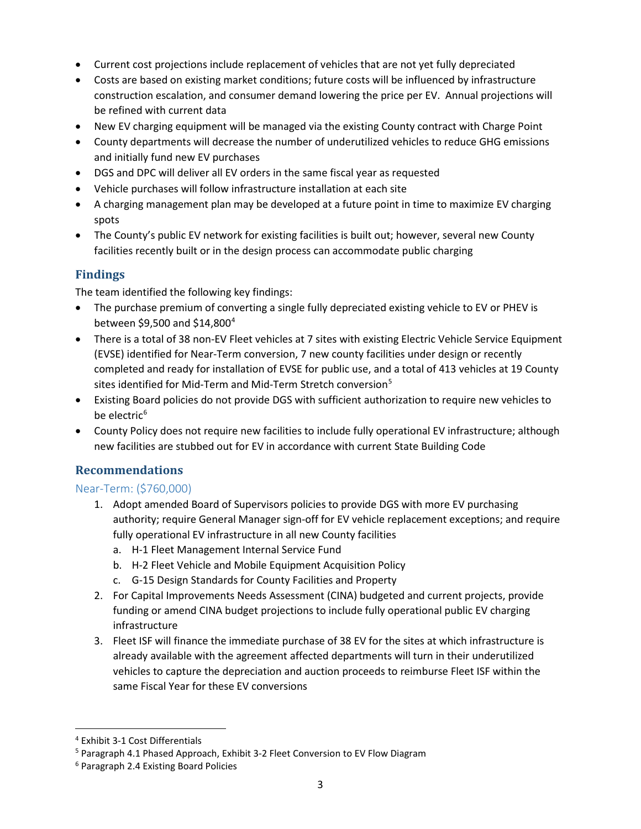- Current cost projections include replacement of vehicles that are not yet fully depreciated
- Costs are based on existing market conditions; future costs will be influenced by infrastructure construction escalation, and consumer demand lowering the price per EV. Annual projections will be refined with current data
- New EV charging equipment will be managed via the existing County contract with Charge Point
- County departments will decrease the number of underutilized vehicles to reduce GHG emissions and initially fund new EV purchases
- DGS and DPC will deliver all EV orders in the same fiscal year as requested
- Vehicle purchases will follow infrastructure installation at each site
- A charging management plan may be developed at a future point in time to maximize EV charging spots
- The County's public EV network for existing facilities is built out; however, several new County facilities recently built or in the design process can accommodate public charging

### **Findings**

The team identified the following key findings:

- The purchase premium of converting a single fully depreciated existing vehicle to EV or PHEV is between \$9,500 and \$14,800[4](#page-2-0)
- There is a total of 38 non-EV Fleet vehicles at 7 sites with existing Electric Vehicle Service Equipment (EVSE) identified for Near-Term conversion, 7 new county facilities under design or recently completed and ready for installation of EVSE for public use, and a total of 413 vehicles at 19 County sites identified for Mid-Term and Mid-Term Stretch conversion<sup>[5](#page-2-1)</sup>
- Existing Board policies do not provide DGS with sufficient authorization to require new vehicles to be electric $6$
- County Policy does not require new facilities to include fully operational EV infrastructure; although new facilities are stubbed out for EV in accordance with current State Building Code

### **Recommendations**

### Near-Term: (\$760,000)

- 1. Adopt amended Board of Supervisors policies to provide DGS with more EV purchasing authority; require General Manager sign-off for EV vehicle replacement exceptions; and require fully operational EV infrastructure in all new County facilities
	- a. H-1 Fleet Management Internal Service Fund
	- b. H-2 Fleet Vehicle and Mobile Equipment Acquisition Policy
	- c. G-15 Design Standards for County Facilities and Property
- 2. For Capital Improvements Needs Assessment (CINA) budgeted and current projects, provide funding or amend CINA budget projections to include fully operational public EV charging infrastructure
- 3. Fleet ISF will finance the immediate purchase of 38 EV for the sites at which infrastructure is already available with the agreement affected departments will turn in their underutilized vehicles to capture the depreciation and auction proceeds to reimburse Fleet ISF within the same Fiscal Year for these EV conversions

<span id="page-2-0"></span><sup>4</sup> Exhibit 3-1 Cost Differentials

<span id="page-2-1"></span><sup>5</sup> Paragraph 4.1 Phased Approach, Exhibit 3-2 Fleet Conversion to EV Flow Diagram

<span id="page-2-2"></span><sup>6</sup> Paragraph 2.4 Existing Board Policies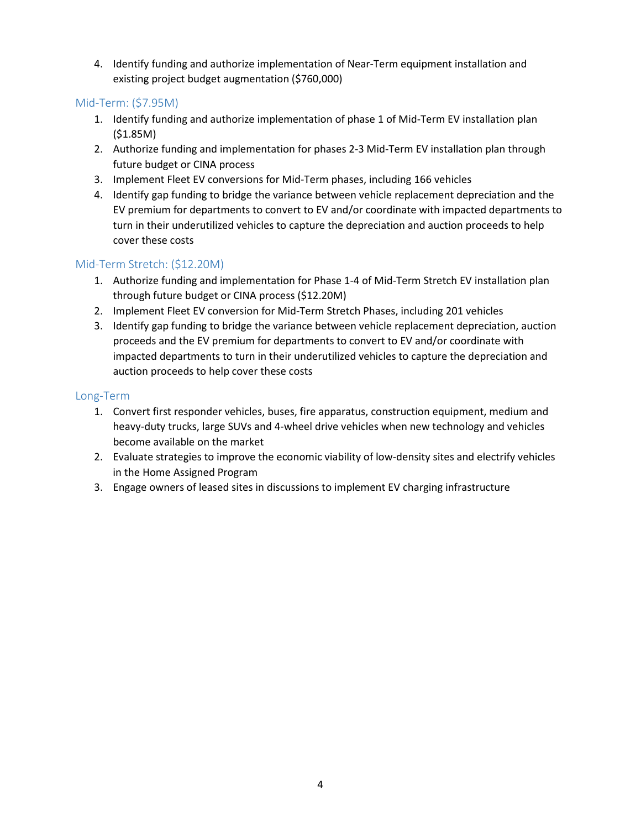4. Identify funding and authorize implementation of Near-Term equipment installation and existing project budget augmentation (\$760,000)

#### Mid-Term: (\$7.95M)

- 1. Identify funding and authorize implementation of phase 1 of Mid-Term EV installation plan (\$1.85M)
- 2. Authorize funding and implementation for phases 2-3 Mid-Term EV installation plan through future budget or CINA process
- 3. Implement Fleet EV conversions for Mid-Term phases, including 166 vehicles
- 4. Identify gap funding to bridge the variance between vehicle replacement depreciation and the EV premium for departments to convert to EV and/or coordinate with impacted departments to turn in their underutilized vehicles to capture the depreciation and auction proceeds to help cover these costs

#### Mid-Term Stretch: (\$12.20M)

- 1. Authorize funding and implementation for Phase 1-4 of Mid-Term Stretch EV installation plan through future budget or CINA process (\$12.20M)
- 2. Implement Fleet EV conversion for Mid-Term Stretch Phases, including 201 vehicles
- 3. Identify gap funding to bridge the variance between vehicle replacement depreciation, auction proceeds and the EV premium for departments to convert to EV and/or coordinate with impacted departments to turn in their underutilized vehicles to capture the depreciation and auction proceeds to help cover these costs

#### Long-Term

- 1. Convert first responder vehicles, buses, fire apparatus, construction equipment, medium and heavy-duty trucks, large SUVs and 4-wheel drive vehicles when new technology and vehicles become available on the market
- 2. Evaluate strategies to improve the economic viability of low-density sites and electrify vehicles in the Home Assigned Program
- 3. Engage owners of leased sites in discussions to implement EV charging infrastructure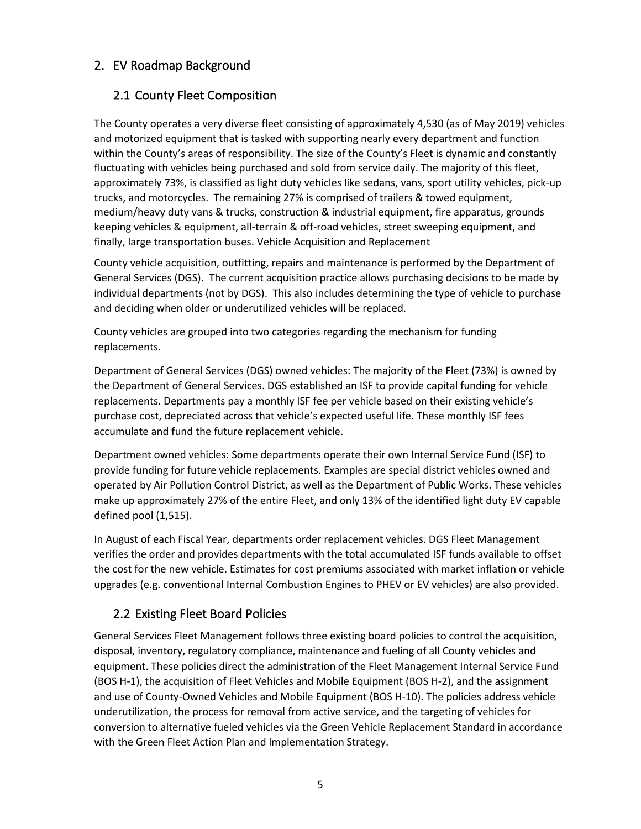### 2. EV Roadmap Background

### 2.1 County Fleet Composition

The County operates a very diverse fleet consisting of approximately 4,530 (as of May 2019) vehicles and motorized equipment that is tasked with supporting nearly every department and function within the County's areas of responsibility. The size of the County's Fleet is dynamic and constantly fluctuating with vehicles being purchased and sold from service daily. The majority of this fleet, approximately 73%, is classified as light duty vehicles like sedans, vans, sport utility vehicles, pick-up trucks, and motorcycles. The remaining 27% is comprised of trailers & towed equipment, medium/heavy duty vans & trucks, construction & industrial equipment, fire apparatus, grounds keeping vehicles & equipment, all-terrain & off-road vehicles, street sweeping equipment, and finally, large transportation buses. Vehicle Acquisition and Replacement

County vehicle acquisition, outfitting, repairs and maintenance is performed by the Department of General Services (DGS). The current acquisition practice allows purchasing decisions to be made by individual departments (not by DGS). This also includes determining the type of vehicle to purchase and deciding when older or underutilized vehicles will be replaced.

County vehicles are grouped into two categories regarding the mechanism for funding replacements.

Department of General Services (DGS) owned vehicles: The majority of the Fleet (73%) is owned by the Department of General Services. DGS established an ISF to provide capital funding for vehicle replacements. Departments pay a monthly ISF fee per vehicle based on their existing vehicle's purchase cost, depreciated across that vehicle's expected useful life. These monthly ISF fees accumulate and fund the future replacement vehicle.

Department owned vehicles: Some departments operate their own Internal Service Fund (ISF) to provide funding for future vehicle replacements. Examples are special district vehicles owned and operated by Air Pollution Control District, as well as the Department of Public Works. These vehicles make up approximately 27% of the entire Fleet, and only 13% of the identified light duty EV capable defined pool (1,515).

In August of each Fiscal Year, departments order replacement vehicles. DGS Fleet Management verifies the order and provides departments with the total accumulated ISF funds available to offset the cost for the new vehicle. Estimates for cost premiums associated with market inflation or vehicle upgrades (e.g. conventional Internal Combustion Engines to PHEV or EV vehicles) are also provided.

## 2.2 Existing Fleet Board Policies

General Services Fleet Management follows three existing board policies to control the acquisition, disposal, inventory, regulatory compliance, maintenance and fueling of all County vehicles and equipment. These policies direct the administration of the Fleet Management Internal Service Fund (BOS H-1), the acquisition of Fleet Vehicles and Mobile Equipment (BOS H-2), and the assignment and use of County-Owned Vehicles and Mobile Equipment (BOS H-10). The policies address vehicle underutilization, the process for removal from active service, and the targeting of vehicles for conversion to alternative fueled vehicles via the Green Vehicle Replacement Standard in accordance with the Green Fleet Action Plan and Implementation Strategy.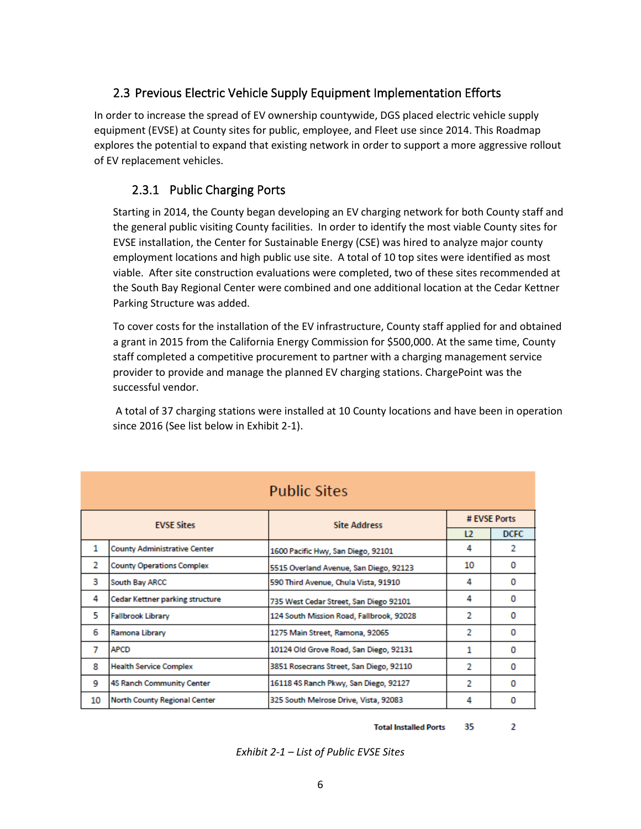### 2.3 Previous Electric Vehicle Supply Equipment Implementation Efforts

In order to increase the spread of EV ownership countywide, DGS placed electric vehicle supply equipment (EVSE) at County sites for public, employee, and Fleet use since 2014. This Roadmap explores the potential to expand that existing network in order to support a more aggressive rollout of EV replacement vehicles.

### 2.3.1 Public Charging Ports

Starting in 2014, the County began developing an EV charging network for both County staff and the general public visiting County facilities. In order to identify the most viable County sites for EVSE installation, the Center for Sustainable Energy (CSE) was hired to analyze major county employment locations and high public use site. A total of 10 top sites were identified as most viable. After site construction evaluations were completed, two of these sites recommended at the South Bay Regional Center were combined and one additional location at the Cedar Kettner Parking Structure was added.

To cover costs for the installation of the EV infrastructure, County staff applied for and obtained a grant in 2015 from the California Energy Commission for \$500,000. At the same time, County staff completed a competitive procurement to partner with a charging management service provider to provide and manage the planned EV charging stations. ChargePoint was the successful vendor.

A total of 37 charging stations were installed at 10 County locations and have been in operation since 2016 (See list below in Exhibit 2-1).

|                   |                                        | <b>Public Sites</b>                      |              |             |
|-------------------|----------------------------------------|------------------------------------------|--------------|-------------|
| <b>FVSF Sites</b> |                                        | <b>Site Address</b>                      | # EVSE Ports |             |
|                   |                                        |                                          | L2           | <b>DCFC</b> |
| 1                 | <b>County Administrative Center</b>    | 1600 Pacific Hwy, San Diego, 92101       | 4            | 2           |
| 2                 | <b>County Operations Complex</b>       | 5515 Overland Avenue, San Diego, 92123   | 10           | $\Omega$    |
| 3                 | South Bay ARCC                         | 590 Third Avenue, Chula Vista, 91910     | 4            | 0           |
| 4                 | <b>Cedar Kettner parking structure</b> | 735 West Cedar Street, San Diego 92101   | 4            | 0           |
| 5                 | <b>Fallbrook Library</b>               | 124 South Mission Road, Fallbrook, 92028 | 2            | 0           |
| 6                 | Ramona Library                         | 1275 Main Street, Ramona, 92065          | 2            | 0           |
| 7                 | <b>APCD</b>                            | 10124 Old Grove Road, San Diego, 92131   | 1            | 0           |
| 8                 | <b>Health Service Complex</b>          | 3851 Rosecrans Street, San Diego, 92110  | 2            | 0           |
| 9                 | 4S Ranch Community Center              | 16118 4S Ranch Pkwy, San Diego, 92127    | 2            | 0           |
| 10                | <b>North County Regional Center</b>    | 325 South Melrose Drive, Vista, 92083    | 4            | 0           |

**Total Installed Ports** 35.  $\overline{2}$ 

*Exhibit 2-1 – List of Public EVSE Sites*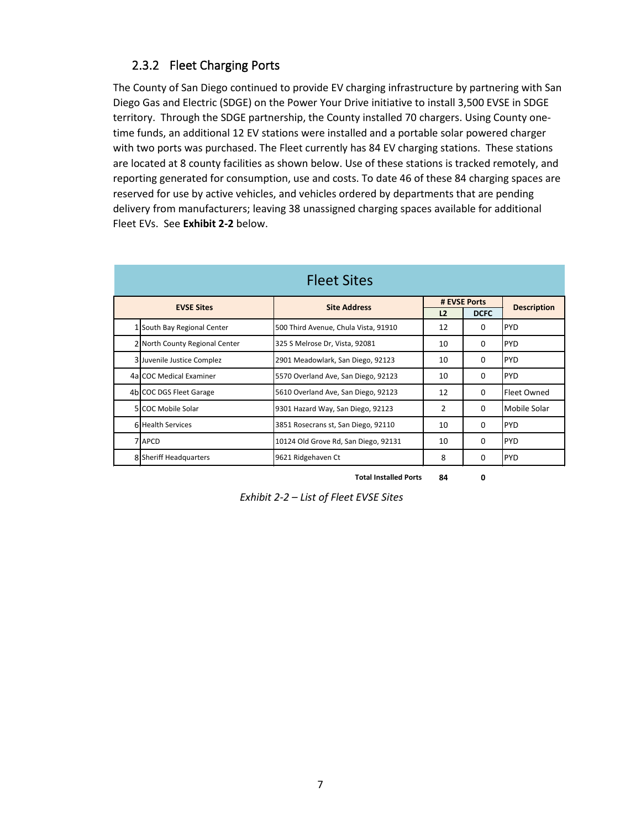### 2.3.2 Fleet Charging Ports

The County of San Diego continued to provide EV charging infrastructure by partnering with San Diego Gas and Electric (SDGE) on the Power Your Drive initiative to install 3,500 EVSE in SDGE territory. Through the SDGE partnership, the County installed 70 chargers. Using County onetime funds, an additional 12 EV stations were installed and a portable solar powered charger with two ports was purchased. The Fleet currently has 84 EV charging stations. These stations are located at 8 county facilities as shown below. Use of these stations is tracked remotely, and reporting generated for consumption, use and costs. To date 46 of these 84 charging spaces are reserved for use by active vehicles, and vehicles ordered by departments that are pending delivery from manufacturers; leaving 38 unassigned charging spaces available for additional Fleet EVs. See **Exhibit 2-2** below.

|                                | <b>Fleet Sites</b>                   |                |             |                    |
|--------------------------------|--------------------------------------|----------------|-------------|--------------------|
| <b>EVSE Sites</b>              | <b>Site Address</b>                  | # EVSE Ports   |             | <b>Description</b> |
|                                |                                      | L <sub>2</sub> | <b>DCFC</b> |                    |
| 1 South Bay Regional Center    | 500 Third Avenue, Chula Vista, 91910 | 12             | O           | <b>PYD</b>         |
| 2 North County Regional Center | 325 S Melrose Dr, Vista, 92081       | 10             | $\Omega$    | <b>PYD</b>         |
| 3 Juvenile Justice Complez     | 2901 Meadowlark, San Diego, 92123    | 10             | 0           | <b>PYD</b>         |
| 4al COC Medical Examiner       | 5570 Overland Ave, San Diego, 92123  | 10             | 0           | <b>PYD</b>         |
| 4b COC DGS Fleet Garage        | 5610 Overland Ave, San Diego, 92123  | 12             | $\Omega$    | Fleet Owned        |
| 5 COC Mobile Solar             | 9301 Hazard Way, San Diego, 92123    | $\mathcal{P}$  | $\Omega$    | Mobile Solar       |
| 6 Health Services              | 3851 Rosecrans st, San Diego, 92110  | 10             | $\Omega$    | <b>PYD</b>         |
| 7 APCD                         | 10124 Old Grove Rd, San Diego, 92131 | 10             | 0           | <b>PYD</b>         |
| 8 Sheriff Headquarters         | 9621 Ridgehaven Ct                   | 8              | 0           | <b>PYD</b>         |

**Total Installed Ports 84 0**

*Exhibit 2-2 – List of Fleet EVSE Sites*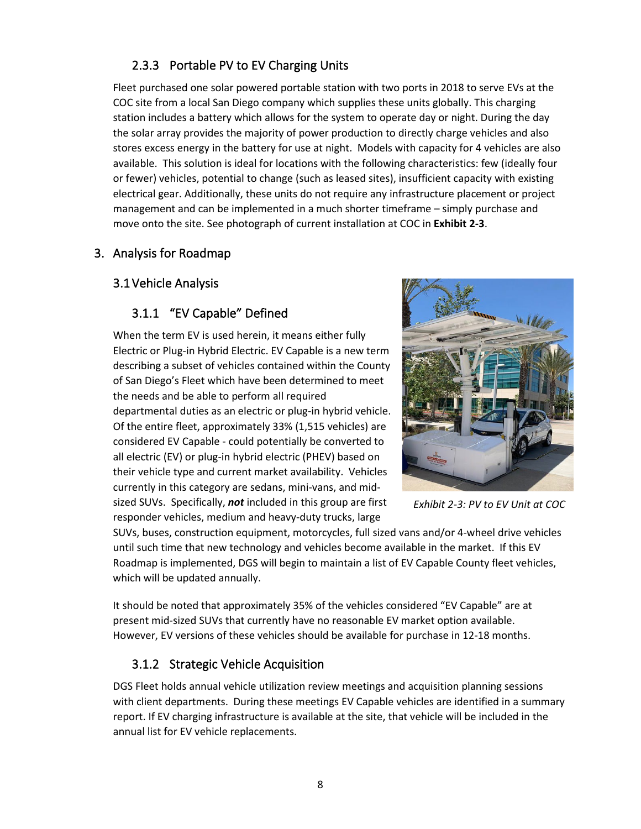# 2.3.3 Portable PV to EV Charging Units

Fleet purchased one solar powered portable station with two ports in 2018 to serve EVs at the COC site from a local San Diego company which supplies these units globally. This charging station includes a battery which allows for the system to operate day or night. During the day the solar array provides the majority of power production to directly charge vehicles and also stores excess energy in the battery for use at night. Models with capacity for 4 vehicles are also available. This solution is ideal for locations with the following characteristics: few (ideally four or fewer) vehicles, potential to change (such as leased sites), insufficient capacity with existing electrical gear. Additionally, these units do not require any infrastructure placement or project management and can be implemented in a much shorter timeframe – simply purchase and move onto the site. See photograph of current installation at COC in **Exhibit 2-3**.

### 3. Analysis for Roadmap

### 3.1Vehicle Analysis

### 3.1.1 "EV Capable" Defined

When the term EV is used herein, it means either fully Electric or Plug-in Hybrid Electric. EV Capable is a new term describing a subset of vehicles contained within the County of San Diego's Fleet which have been determined to meet the needs and be able to perform all required departmental duties as an electric or plug-in hybrid vehicle. Of the entire fleet, approximately 33% (1,515 vehicles) are considered EV Capable - could potentially be converted to all electric (EV) or plug-in hybrid electric (PHEV) based on their vehicle type and current market availability. Vehicles currently in this category are sedans, mini-vans, and midsized SUVs. Specifically, *not* included in this group are first responder vehicles, medium and heavy-duty trucks, large



*Exhibit 2-3: PV to EV Unit at COC*

SUVs, buses, construction equipment, motorcycles, full sized vans and/or 4-wheel drive vehicles until such time that new technology and vehicles become available in the market. If this EV Roadmap is implemented, DGS will begin to maintain a list of EV Capable County fleet vehicles, which will be updated annually.

It should be noted that approximately 35% of the vehicles considered "EV Capable" are at present mid-sized SUVs that currently have no reasonable EV market option available. However, EV versions of these vehicles should be available for purchase in 12-18 months.

### 3.1.2 Strategic Vehicle Acquisition

DGS Fleet holds annual vehicle utilization review meetings and acquisition planning sessions with client departments. During these meetings EV Capable vehicles are identified in a summary report. If EV charging infrastructure is available at the site, that vehicle will be included in the annual list for EV vehicle replacements.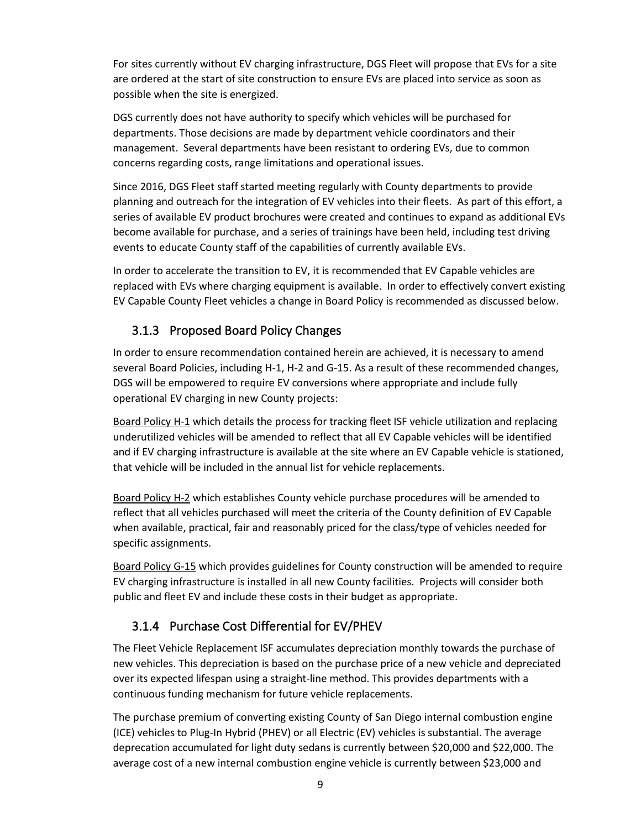For sites currently without EV charging infrastructure, DGS Fleet will propose that EVs for a site are ordered at the start of site construction to ensure EVs are placed into service as soon as possible when the site is energized.

DGS currently does not have authority to specify which vehicles will be purchased for departments. Those decisions are made by department vehicle coordinators and their management. Several departments have been resistant to ordering EVs, due to common concerns regarding costs, range limitations and operational issues.

Since 2016, DGS Fleet staff started meeting regularly with County departments to provide planning and outreach for the integration of EV vehicles into their fleets. As part of this effort, a series of available EV product brochures were created and continues to expand as additional EVs become available for purchase, and a series of trainings have been held, including test driving events to educate County staff of the capabilities of currently available EVs.

In order to accelerate the transition to EV, it is recommended that EV Capable vehicles are replaced with EVs where charging equipment is available. In order to effectively convert existing EV Capable County Fleet vehicles a change in Board Policy is recommended as discussed below.

### 3.1.3 Proposed Board Policy Changes

In order to ensure recommendation contained herein are achieved, it is necessary to amend several Board Policies, including H-1, H-2 and G-15. As a result of these recommended changes, DGS will be empowered to require EV conversions where appropriate and include fully operational EV charging in new County projects:

Board Policy H-1 which details the process for tracking fleet ISF vehicle utilization and replacing underutilized vehicles will be amended to reflect that all EV Capable vehicles will be identified and if EV charging infrastructure is available at the site where an EV Capable vehicle is stationed, that vehicle will be included in the annual list for vehicle replacements.

Board Policy H-2 which establishes County vehicle purchase procedures will be amended to reflect that all vehicles purchased will meet the criteria of the County definition of EV Capable when available, practical, fair and reasonably priced for the class/type of vehicles needed for specific assignments.

Board Policy G-15 which provides guidelines for County construction will be amended to require EV charging infrastructure is installed in all new County facilities. Projects will consider both public and fleet EV and include these costs in their budget as appropriate.

## 3.1.4 Purchase Cost Differential for EV/PHEV

The Fleet Vehicle Replacement ISF accumulates depreciation monthly towards the purchase of new vehicles. This depreciation is based on the purchase price of a new vehicle and depreciated over its expected lifespan using a straight-line method. This provides departments with a continuous funding mechanism for future vehicle replacements.

The purchase premium of converting existing County of San Diego internal combustion engine (ICE) vehicles to Plug-In Hybrid (PHEV) or all Electric (EV) vehicles is substantial. The average deprecation accumulated for light duty sedans is currently between \$20,000 and \$22,000. The average cost of a new internal combustion engine vehicle is currently between \$23,000 and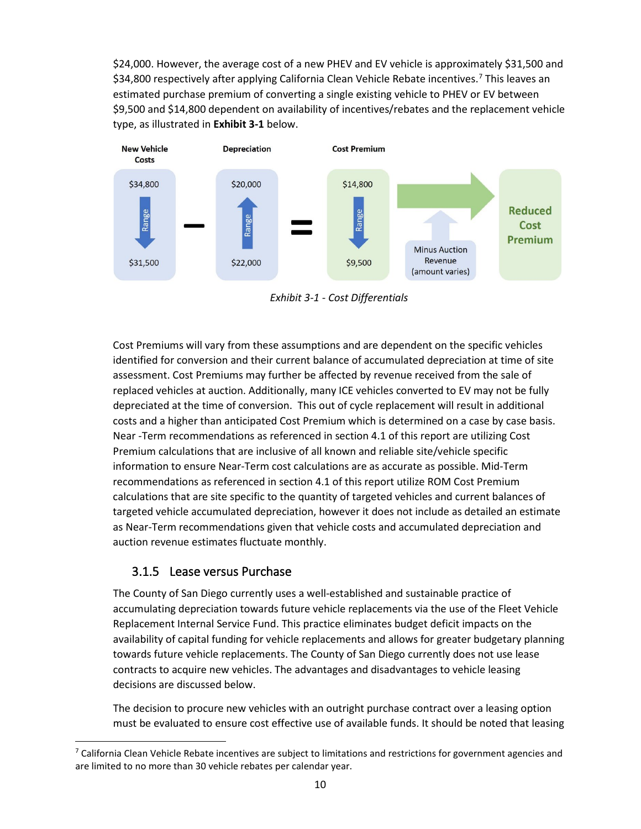\$24,000. However, the average cost of a new PHEV and EV vehicle is approximately \$31,500 and \$34,800 respectively after applying California Clean Vehicle Rebate incentives.<sup>[7](#page-9-0)</sup> This leaves an estimated purchase premium of converting a single existing vehicle to PHEV or EV between \$9,500 and \$14,800 dependent on availability of incentives/rebates and the replacement vehicle type, as illustrated in **Exhibit 3-1** below.



*Exhibit 3-1 - Cost Differentials*

Cost Premiums will vary from these assumptions and are dependent on the specific vehicles identified for conversion and their current balance of accumulated depreciation at time of site assessment. Cost Premiums may further be affected by revenue received from the sale of replaced vehicles at auction. Additionally, many ICE vehicles converted to EV may not be fully depreciated at the time of conversion. This out of cycle replacement will result in additional costs and a higher than anticipated Cost Premium which is determined on a case by case basis. Near -Term recommendations as referenced in section 4.1 of this report are utilizing Cost Premium calculations that are inclusive of all known and reliable site/vehicle specific information to ensure Near-Term cost calculations are as accurate as possible. Mid-Term recommendations as referenced in section 4.1 of this report utilize ROM Cost Premium calculations that are site specific to the quantity of targeted vehicles and current balances of targeted vehicle accumulated depreciation, however it does not include as detailed an estimate as Near-Term recommendations given that vehicle costs and accumulated depreciation and auction revenue estimates fluctuate monthly.

### 3.1.5 Lease versus Purchase

The County of San Diego currently uses a well-established and sustainable practice of accumulating depreciation towards future vehicle replacements via the use of the Fleet Vehicle Replacement Internal Service Fund. This practice eliminates budget deficit impacts on the availability of capital funding for vehicle replacements and allows for greater budgetary planning towards future vehicle replacements. The County of San Diego currently does not use lease contracts to acquire new vehicles. The advantages and disadvantages to vehicle leasing decisions are discussed below.

The decision to procure new vehicles with an outright purchase contract over a leasing option must be evaluated to ensure cost effective use of available funds. It should be noted that leasing

<span id="page-9-0"></span> $7$  California Clean Vehicle Rebate incentives are subject to limitations and restrictions for government agencies and are limited to no more than 30 vehicle rebates per calendar year.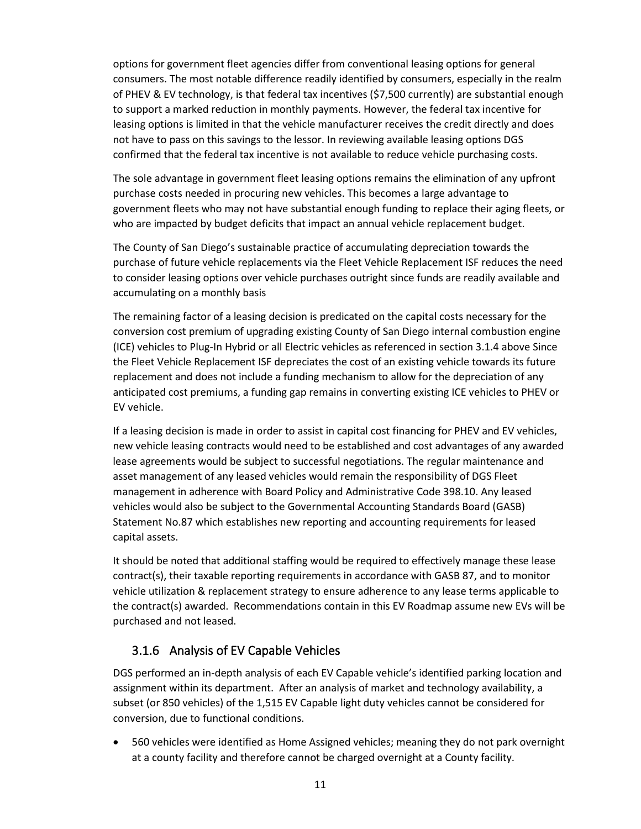options for government fleet agencies differ from conventional leasing options for general consumers. The most notable difference readily identified by consumers, especially in the realm of PHEV & EV technology, is that federal tax incentives (\$7,500 currently) are substantial enough to support a marked reduction in monthly payments. However, the federal tax incentive for leasing options is limited in that the vehicle manufacturer receives the credit directly and does not have to pass on this savings to the lessor. In reviewing available leasing options DGS confirmed that the federal tax incentive is not available to reduce vehicle purchasing costs.

The sole advantage in government fleet leasing options remains the elimination of any upfront purchase costs needed in procuring new vehicles. This becomes a large advantage to government fleets who may not have substantial enough funding to replace their aging fleets, or who are impacted by budget deficits that impact an annual vehicle replacement budget.

The County of San Diego's sustainable practice of accumulating depreciation towards the purchase of future vehicle replacements via the Fleet Vehicle Replacement ISF reduces the need to consider leasing options over vehicle purchases outright since funds are readily available and accumulating on a monthly basis

The remaining factor of a leasing decision is predicated on the capital costs necessary for the conversion cost premium of upgrading existing County of San Diego internal combustion engine (ICE) vehicles to Plug-In Hybrid or all Electric vehicles as referenced in section 3.1.4 above Since the Fleet Vehicle Replacement ISF depreciates the cost of an existing vehicle towards its future replacement and does not include a funding mechanism to allow for the depreciation of any anticipated cost premiums, a funding gap remains in converting existing ICE vehicles to PHEV or EV vehicle.

If a leasing decision is made in order to assist in capital cost financing for PHEV and EV vehicles, new vehicle leasing contracts would need to be established and cost advantages of any awarded lease agreements would be subject to successful negotiations. The regular maintenance and asset management of any leased vehicles would remain the responsibility of DGS Fleet management in adherence with Board Policy and Administrative Code 398.10. Any leased vehicles would also be subject to the Governmental Accounting Standards Board (GASB) Statement No.87 which establishes new reporting and accounting requirements for leased capital assets.

It should be noted that additional staffing would be required to effectively manage these lease contract(s), their taxable reporting requirements in accordance with GASB 87, and to monitor vehicle utilization & replacement strategy to ensure adherence to any lease terms applicable to the contract(s) awarded. Recommendations contain in this EV Roadmap assume new EVs will be purchased and not leased.

### 3.1.6 Analysis of EV Capable Vehicles

DGS performed an in-depth analysis of each EV Capable vehicle's identified parking location and assignment within its department. After an analysis of market and technology availability, a subset (or 850 vehicles) of the 1,515 EV Capable light duty vehicles cannot be considered for conversion, due to functional conditions.

• 560 vehicles were identified as Home Assigned vehicles; meaning they do not park overnight at a county facility and therefore cannot be charged overnight at a County facility.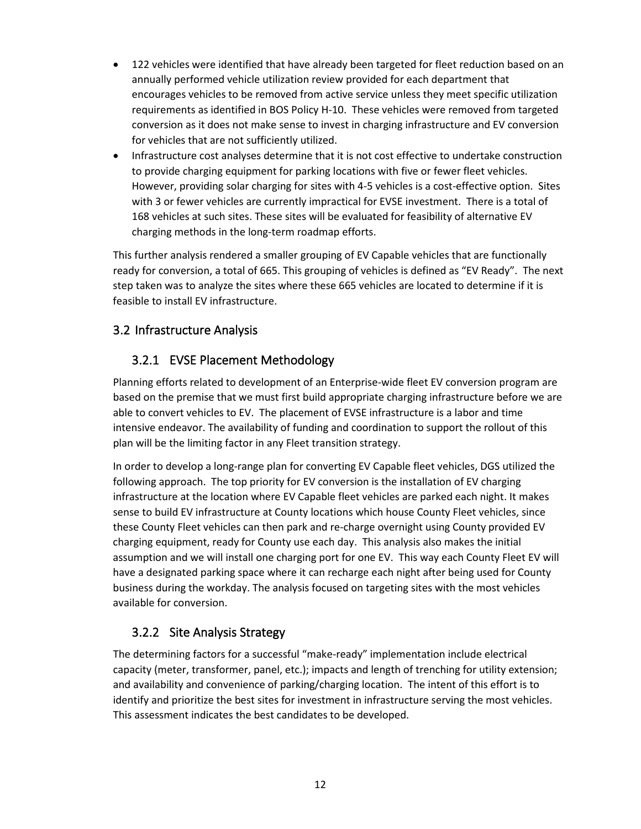- 122 vehicles were identified that have already been targeted for fleet reduction based on an annually performed vehicle utilization review provided for each department that encourages vehicles to be removed from active service unless they meet specific utilization requirements as identified in BOS Policy H-10. These vehicles were removed from targeted conversion as it does not make sense to invest in charging infrastructure and EV conversion for vehicles that are not sufficiently utilized.
- Infrastructure cost analyses determine that it is not cost effective to undertake construction to provide charging equipment for parking locations with five or fewer fleet vehicles. However, providing solar charging for sites with 4-5 vehicles is a cost-effective option. Sites with 3 or fewer vehicles are currently impractical for EVSE investment. There is a total of 168 vehicles at such sites. These sites will be evaluated for feasibility of alternative EV charging methods in the long-term roadmap efforts.

This further analysis rendered a smaller grouping of EV Capable vehicles that are functionally ready for conversion, a total of 665. This grouping of vehicles is defined as "EV Ready". The next step taken was to analyze the sites where these 665 vehicles are located to determine if it is feasible to install EV infrastructure.

### 3.2 Infrastructure Analysis

### 3.2.1 EVSE Placement Methodology

Planning efforts related to development of an Enterprise-wide fleet EV conversion program are based on the premise that we must first build appropriate charging infrastructure before we are able to convert vehicles to EV. The placement of EVSE infrastructure is a labor and time intensive endeavor. The availability of funding and coordination to support the rollout of this plan will be the limiting factor in any Fleet transition strategy.

In order to develop a long-range plan for converting EV Capable fleet vehicles, DGS utilized the following approach. The top priority for EV conversion is the installation of EV charging infrastructure at the location where EV Capable fleet vehicles are parked each night. It makes sense to build EV infrastructure at County locations which house County Fleet vehicles, since these County Fleet vehicles can then park and re-charge overnight using County provided EV charging equipment, ready for County use each day. This analysis also makes the initial assumption and we will install one charging port for one EV. This way each County Fleet EV will have a designated parking space where it can recharge each night after being used for County business during the workday. The analysis focused on targeting sites with the most vehicles available for conversion.

### 3.2.2 Site Analysis Strategy

The determining factors for a successful "make-ready" implementation include electrical capacity (meter, transformer, panel, etc.); impacts and length of trenching for utility extension; and availability and convenience of parking/charging location. The intent of this effort is to identify and prioritize the best sites for investment in infrastructure serving the most vehicles. This assessment indicates the best candidates to be developed.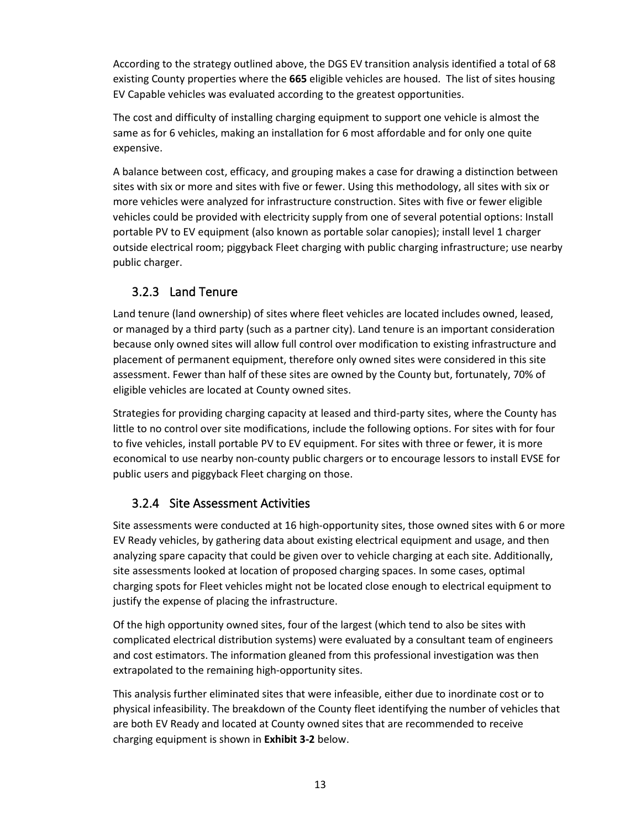According to the strategy outlined above, the DGS EV transition analysis identified a total of 68 existing County properties where the **665** eligible vehicles are housed. The list of sites housing EV Capable vehicles was evaluated according to the greatest opportunities.

The cost and difficulty of installing charging equipment to support one vehicle is almost the same as for 6 vehicles, making an installation for 6 most affordable and for only one quite expensive.

A balance between cost, efficacy, and grouping makes a case for drawing a distinction between sites with six or more and sites with five or fewer. Using this methodology, all sites with six or more vehicles were analyzed for infrastructure construction. Sites with five or fewer eligible vehicles could be provided with electricity supply from one of several potential options: Install portable PV to EV equipment (also known as portable solar canopies); install level 1 charger outside electrical room; piggyback Fleet charging with public charging infrastructure; use nearby public charger.

### 3.2.3 Land Tenure

Land tenure (land ownership) of sites where fleet vehicles are located includes owned, leased, or managed by a third party (such as a partner city). Land tenure is an important consideration because only owned sites will allow full control over modification to existing infrastructure and placement of permanent equipment, therefore only owned sites were considered in this site assessment. Fewer than half of these sites are owned by the County but, fortunately, 70% of eligible vehicles are located at County owned sites.

Strategies for providing charging capacity at leased and third-party sites, where the County has little to no control over site modifications, include the following options. For sites with for four to five vehicles, install portable PV to EV equipment. For sites with three or fewer, it is more economical to use nearby non-county public chargers or to encourage lessors to install EVSE for public users and piggyback Fleet charging on those.

### 3.2.4 Site Assessment Activities

Site assessments were conducted at 16 high-opportunity sites, those owned sites with 6 or more EV Ready vehicles, by gathering data about existing electrical equipment and usage, and then analyzing spare capacity that could be given over to vehicle charging at each site. Additionally, site assessments looked at location of proposed charging spaces. In some cases, optimal charging spots for Fleet vehicles might not be located close enough to electrical equipment to justify the expense of placing the infrastructure.

Of the high opportunity owned sites, four of the largest (which tend to also be sites with complicated electrical distribution systems) were evaluated by a consultant team of engineers and cost estimators. The information gleaned from this professional investigation was then extrapolated to the remaining high-opportunity sites.

This analysis further eliminated sites that were infeasible, either due to inordinate cost or to physical infeasibility. The breakdown of the County fleet identifying the number of vehicles that are both EV Ready and located at County owned sites that are recommended to receive charging equipment is shown in **Exhibit 3-2** below.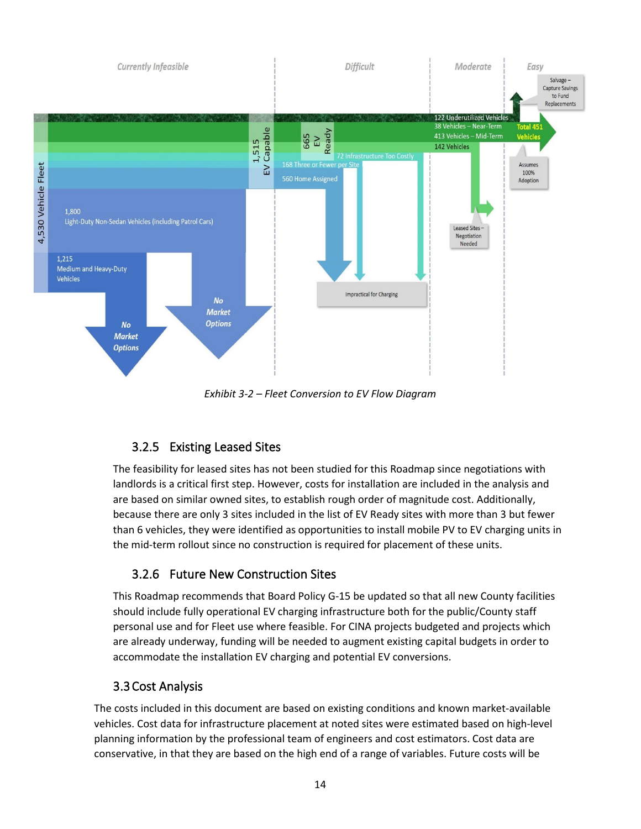

*Exhibit 3-2 – Fleet Conversion to EV Flow Diagram* 

## 3.2.5 Existing Leased Sites

The feasibility for leased sites has not been studied for this Roadmap since negotiations with landlords is a critical first step. However, costs for installation are included in the analysis and are based on similar owned sites, to establish rough order of magnitude cost. Additionally, because there are only 3 sites included in the list of EV Ready sites with more than 3 but fewer than 6 vehicles, they were identified as opportunities to install mobile PV to EV charging units in the mid-term rollout since no construction is required for placement of these units.

## 3.2.6 Future New Construction Sites

This Roadmap recommends that Board Policy G-15 be updated so that all new County facilities should include fully operational EV charging infrastructure both for the public/County staff personal use and for Fleet use where feasible. For CINA projects budgeted and projects which are already underway, funding will be needed to augment existing capital budgets in order to accommodate the installation EV charging and potential EV conversions.

## 3.3Cost Analysis

The costs included in this document are based on existing conditions and known market-available vehicles. Cost data for infrastructure placement at noted sites were estimated based on high-level planning information by the professional team of engineers and cost estimators. Cost data are conservative, in that they are based on the high end of a range of variables. Future costs will be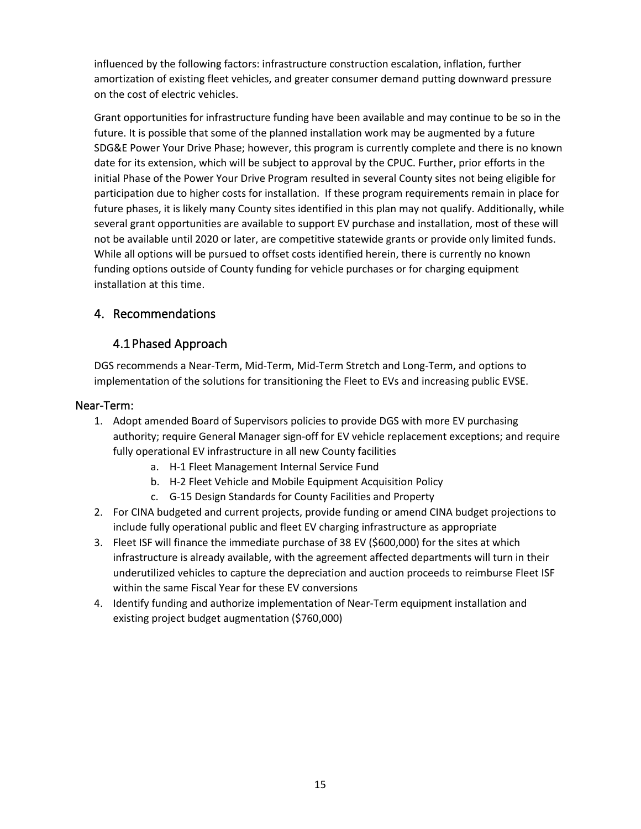influenced by the following factors: infrastructure construction escalation, inflation, further amortization of existing fleet vehicles, and greater consumer demand putting downward pressure on the cost of electric vehicles.

Grant opportunities for infrastructure funding have been available and may continue to be so in the future. It is possible that some of the planned installation work may be augmented by a future SDG&E Power Your Drive Phase; however, this program is currently complete and there is no known date for its extension, which will be subject to approval by the CPUC. Further, prior efforts in the initial Phase of the Power Your Drive Program resulted in several County sites not being eligible for participation due to higher costs for installation. If these program requirements remain in place for future phases, it is likely many County sites identified in this plan may not qualify. Additionally, while several grant opportunities are available to support EV purchase and installation, most of these will not be available until 2020 or later, are competitive statewide grants or provide only limited funds. While all options will be pursued to offset costs identified herein, there is currently no known funding options outside of County funding for vehicle purchases or for charging equipment installation at this time.

### 4. Recommendations

### 4.1Phased Approach

DGS recommends a Near-Term, Mid-Term, Mid-Term Stretch and Long-Term, and options to implementation of the solutions for transitioning the Fleet to EVs and increasing public EVSE.

#### Near-Term:

- 1. Adopt amended Board of Supervisors policies to provide DGS with more EV purchasing authority; require General Manager sign-off for EV vehicle replacement exceptions; and require fully operational EV infrastructure in all new County facilities
	- a. H-1 Fleet Management Internal Service Fund
	- b. H-2 Fleet Vehicle and Mobile Equipment Acquisition Policy
	- c. G-15 Design Standards for County Facilities and Property
- 2. For CINA budgeted and current projects, provide funding or amend CINA budget projections to include fully operational public and fleet EV charging infrastructure as appropriate
- 3. Fleet ISF will finance the immediate purchase of 38 EV (\$600,000) for the sites at which infrastructure is already available, with the agreement affected departments will turn in their underutilized vehicles to capture the depreciation and auction proceeds to reimburse Fleet ISF within the same Fiscal Year for these EV conversions
- 4. Identify funding and authorize implementation of Near-Term equipment installation and existing project budget augmentation (\$760,000)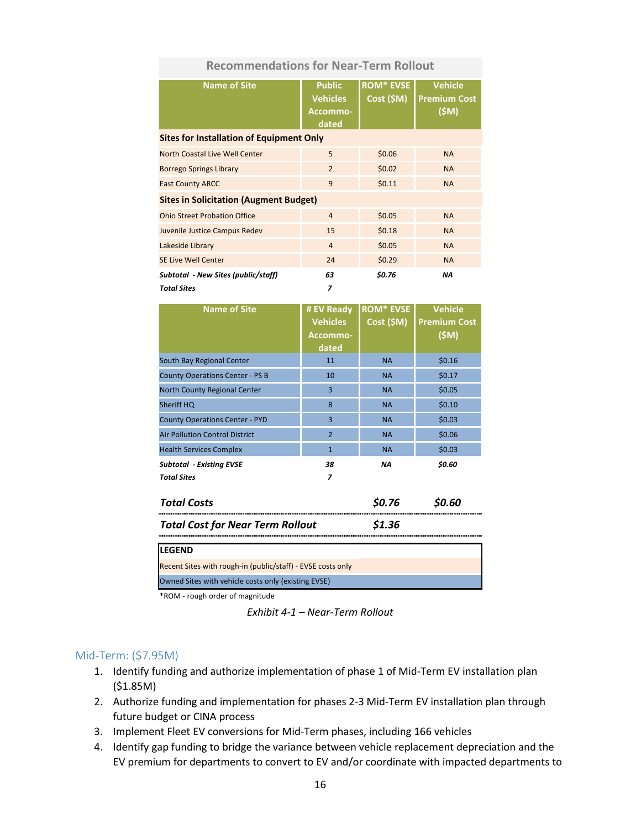#### **Recommendations for Near-Term Rollout**

| <b>Name of Site</b>                             | <b>Public</b><br><b>Vehicles</b><br>Accommo-<br>dated | <b>ROM* EVSE</b><br>Cost (5M) | <b>Vehicle</b><br><b>Premium Cost</b><br>(SM) |
|-------------------------------------------------|-------------------------------------------------------|-------------------------------|-----------------------------------------------|
| <b>Sites for Installation of Equipment Only</b> |                                                       |                               |                                               |
| North Coastal Live Well Center                  | 5                                                     | \$0.06                        | <b>NA</b>                                     |
| <b>Borrego Springs Library</b>                  | $\overline{2}$                                        | \$0.02                        | <b>NA</b>                                     |
| <b>East County ARCC</b>                         | 9                                                     | \$0.11                        | <b>NA</b>                                     |
| <b>Sites in Solicitation (Augment Budget)</b>   |                                                       |                               |                                               |
| <b>Ohio Street Probation Office</b>             | $\overline{4}$                                        | \$0.05                        | <b>NA</b>                                     |
| Juvenile Justice Campus Redev                   | 15                                                    | \$0.18                        | <b>NA</b>                                     |
| Lakeside Library                                | $\overline{4}$                                        | \$0.05                        | <b>NA</b>                                     |
| <b>SE Live Well Center</b>                      | 24                                                    | \$0.29                        | <b>NA</b>                                     |
| Subtotal - New Sites (public/staff)             | 63                                                    | \$0.76                        | <b>NA</b>                                     |
| <b>Total Sites</b>                              | 7                                                     |                               |                                               |

| Name of Site                            | # EV Ready<br><b>Vehicles</b><br>Accommo-<br>dated | <b>ROM* EVSE</b><br>Cost (\$M) | <b>Vehicle</b><br><b>Premium Cost</b><br>(SM) |
|-----------------------------------------|----------------------------------------------------|--------------------------------|-----------------------------------------------|
| South Bay Regional Center               | 11                                                 | <b>NA</b>                      | \$0.16                                        |
| <b>County Operations Center - PS B</b>  | 10                                                 | <b>NA</b>                      | \$0.17                                        |
| North County Regional Center            | $\overline{3}$                                     | <b>NA</b>                      | \$0.05                                        |
| Sheriff HQ                              | 8                                                  | <b>NA</b>                      | \$0.10                                        |
| <b>County Operations Center - PYD</b>   | $\overline{3}$                                     | <b>NA</b>                      | \$0.03                                        |
| <b>Air Pollution Control District</b>   | $\overline{2}$                                     | <b>NA</b>                      | \$0.06                                        |
| <b>Health Services Complex</b>          | $\mathbf{1}$                                       | <b>NA</b>                      | \$0.03                                        |
| <b>Subtotal - Existing EVSE</b>         | 38                                                 | NΑ                             | \$0.60                                        |
| <b>Total Sites</b>                      | $\overline{\phantom{a}}$                           |                                |                                               |
| <b>Total Costs</b>                      |                                                    | \$0.76                         | <b>SO.60</b>                                  |
| <b>Total Cost for Near Term Rollout</b> |                                                    | \$1.36                         |                                               |
| <b>LEGEND</b>                           |                                                    |                                |                                               |

\*ROM - rough order of magnitude

Recent Sites with rough-in (public/staff) - EVSE costs only Owned Sites with vehicle costs only (existing EVSE)

*Exhibit 4-1 – Near-Term Rollout*

#### Mid-Term: (\$7.95M)

- 1. Identify funding and authorize implementation of phase 1 of Mid-Term EV installation plan (\$1.85M)
- 2. Authorize funding and implementation for phases 2-3 Mid-Term EV installation plan through future budget or CINA process
- 3. Implement Fleet EV conversions for Mid-Term phases, including 166 vehicles
- 4. Identify gap funding to bridge the variance between vehicle replacement depreciation and the EV premium for departments to convert to EV and/or coordinate with impacted departments to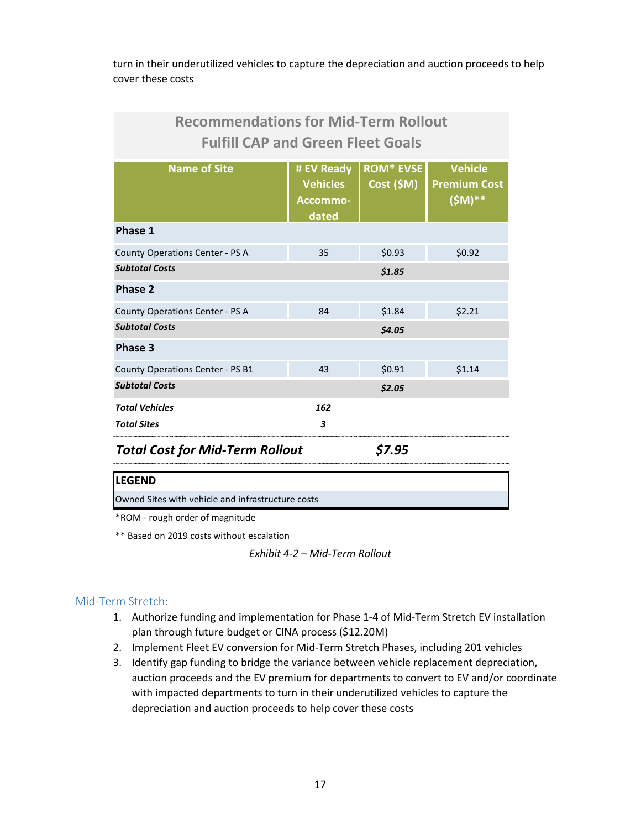turn in their underutilized vehicles to capture the depreciation and auction proceeds to help cover these costs

| <b>Recommendations for Mid-Term Rollout</b><br><b>Fulfill CAP and Green Fleet Goals</b> |                                                                                                                                          |        |        |
|-----------------------------------------------------------------------------------------|------------------------------------------------------------------------------------------------------------------------------------------|--------|--------|
| <b>Name of Site</b>                                                                     | <b>ROM* EVSE</b><br><b>Vehicle</b><br># EV Ready<br>Cost(SM)<br><b>Vehicles</b><br><b>Premium Cost</b><br>$(SM)$ **<br>Accommo-<br>dated |        |        |
| Phase 1                                                                                 |                                                                                                                                          |        |        |
| County Operations Center - PS A                                                         | 35                                                                                                                                       | \$0.93 | \$0.92 |
| <b>Subtotal Costs</b>                                                                   |                                                                                                                                          | \$1.85 |        |
| <b>Phase 2</b>                                                                          |                                                                                                                                          |        |        |
| County Operations Center - PS A                                                         | 84                                                                                                                                       | \$1.84 | \$2.21 |
| <b>Subtotal Costs</b>                                                                   |                                                                                                                                          | \$4.05 |        |
| Phase 3                                                                                 |                                                                                                                                          |        |        |
| County Operations Center - PS B1                                                        | 43                                                                                                                                       | \$0.91 | \$1.14 |
| <b>Subtotal Costs</b>                                                                   |                                                                                                                                          | \$2.05 |        |
| <b>Total Vehicles</b>                                                                   | 162                                                                                                                                      |        |        |
| <b>Total Sites</b>                                                                      | 3                                                                                                                                        |        |        |
| .<br>.                                                                                  |                                                                                                                                          | ---    |        |

*Total Cost for Mid-Term Rollout \$7.95*

#### **LEGEND**

Owned Sites with vehicle and infrastructure costs

\*ROM - rough order of magnitude

\*\* Based on 2019 costs without escalation

*Exhibit 4-2 – Mid-Term Rollout*

#### Mid-Term Stretch:

- 1. Authorize funding and implementation for Phase 1-4 of Mid-Term Stretch EV installation plan through future budget or CINA process (\$12.20M)
- 2. Implement Fleet EV conversion for Mid-Term Stretch Phases, including 201 vehicles
- 3. Identify gap funding to bridge the variance between vehicle replacement depreciation, auction proceeds and the EV premium for departments to convert to EV and/or coordinate with impacted departments to turn in their underutilized vehicles to capture the depreciation and auction proceeds to help cover these costs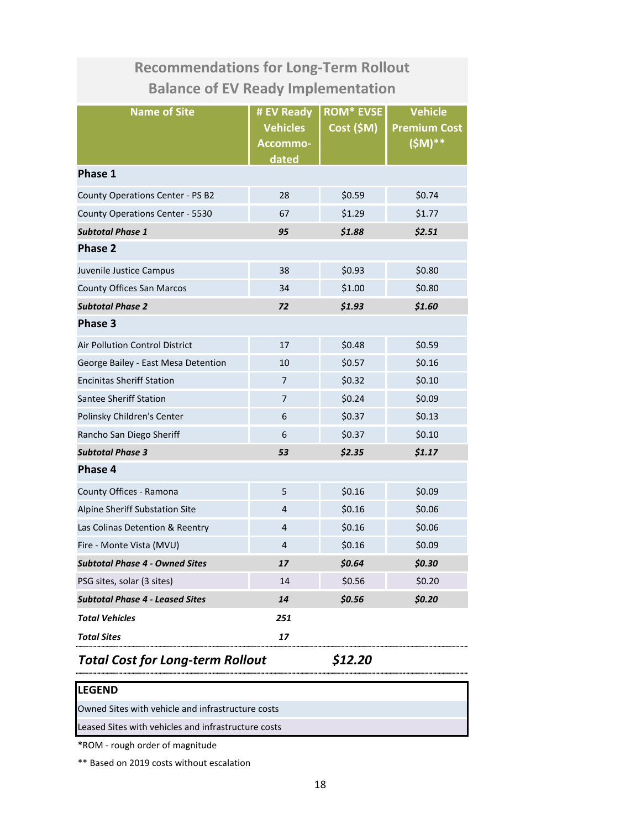| <b>Recommendations for Long-Term Rollout</b> |                                                    |                               |                                                    |  |
|----------------------------------------------|----------------------------------------------------|-------------------------------|----------------------------------------------------|--|
| <b>Balance of EV Ready Implementation</b>    |                                                    |                               |                                                    |  |
| <b>Name of Site</b>                          | # EV Ready<br><b>Vehicles</b><br>Accommo-<br>dated | <b>ROM* EVSE</b><br>Cost (5M) | <b>Vehicle</b><br><b>Premium Cost</b><br>$(SM)$ ** |  |
| Phase 1                                      |                                                    |                               |                                                    |  |
| County Operations Center - PS B2             | 28                                                 | \$0.59                        | \$0.74                                             |  |
| County Operations Center - 5530              | 67                                                 | \$1.29                        | \$1.77                                             |  |
| <b>Subtotal Phase 1</b>                      | 95                                                 | \$1.88                        | \$2.51                                             |  |
| <b>Phase 2</b>                               |                                                    |                               |                                                    |  |
| Juvenile Justice Campus                      | 38                                                 | \$0.93                        | \$0.80                                             |  |
| <b>County Offices San Marcos</b>             | 34                                                 | \$1.00                        | \$0.80                                             |  |
| <b>Subtotal Phase 2</b>                      | 72                                                 | \$1.60<br>\$1.93              |                                                    |  |
| Phase 3                                      |                                                    |                               |                                                    |  |
| Air Pollution Control District               | 17                                                 | \$0.48                        | \$0.59                                             |  |
| George Bailey - East Mesa Detention          | 10                                                 | \$0.57                        | \$0.16                                             |  |
| <b>Encinitas Sheriff Station</b>             | $\overline{7}$                                     | \$0.32                        | \$0.10                                             |  |
| Santee Sheriff Station                       | 7                                                  | \$0.24                        | \$0.09                                             |  |
| Polinsky Children's Center                   | 6                                                  | \$0.37                        | \$0.13                                             |  |
| Rancho San Diego Sheriff                     | 6                                                  | \$0.37                        | \$0.10                                             |  |
| <b>Subtotal Phase 3</b>                      | 53                                                 | \$2.35                        | \$1.17                                             |  |
| Phase 4                                      |                                                    |                               |                                                    |  |
| County Offices - Ramona                      | 5                                                  | \$0.16                        | \$0.09                                             |  |
| Alpine Sheriff Substation Site               | 4                                                  | \$0.16                        | \$0.06                                             |  |
| Las Colinas Detention & Reentry              | 4                                                  | \$0.16                        | \$0.06                                             |  |
| Fire - Monte Vista (MVU)                     | $\overline{4}$                                     | \$0.16                        | \$0.09                                             |  |
| <b>Subtotal Phase 4 - Owned Sites</b>        | 17                                                 | \$0.64                        | \$0.30                                             |  |
| PSG sites, solar (3 sites)                   | 14                                                 | \$0.56                        | \$0.20                                             |  |
| <b>Subtotal Phase 4 - Leased Sites</b>       | 14                                                 | \$0.56                        | \$0.20                                             |  |
| <b>Total Vehicles</b>                        | 251                                                |                               |                                                    |  |
| Total Sites                                  | 17                                                 |                               |                                                    |  |

# *Total Cost for Long-term Rollout \$12.20*

### **LEGEND**

Owned Sites with vehicle and infrastructure costs Leased Sites with vehicles and infrastructure costs

\*ROM - rough order of magnitude

\*\* Based on 2019 costs without escalation